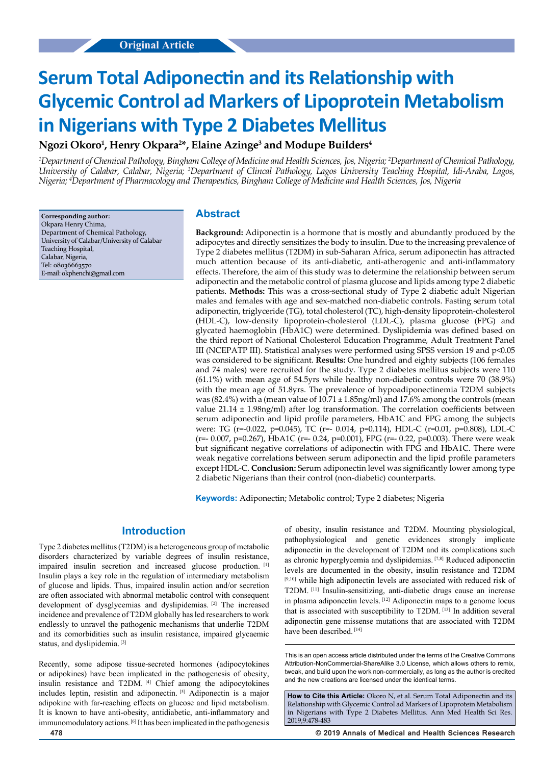# **Serum Total Adiponectin and its Relationship with Glycemic Control ad Markers of Lipoprotein Metabolism in Nigerians with Type 2 Diabetes Mellitus**

# **Ngozi Okoro1 , Henry Okpara2 \*, Elaine Azinge3 and Modupe Builders4**

*1 Department of Chemical Pathology, Bingham College of Medicine and Health Sciences, Jos, Nigeria; 2 Department of Chemical Pathology,*  University of Calabar, Calabar, Nigeria; <sup>3</sup>Department of Clincal Pathology, Lagos University Teaching Hospital, Idi-Araba, Lagos, *Nigeria; 4 Department of Pharmacology and Therapeutics, Bingham College of Medicine and Health Sciences, Jos, Nigeria*

**Corresponding author:** Okpara Henry Chima, Department of Chemical Pathology, University of Calabar/University of Calabar Teaching Hospital, Calabar, Nigeria, Tel: 08036663570 E-mail: okphenchi@gmail.com

### **Abstract**

**Background:** Adiponectin is a hormone that is mostly and abundantly produced by the adipocytes and directly sensitizes the body to insulin. Due to the increasing prevalence of Type 2 diabetes mellitus (T2DM) in sub-Saharan Africa, serum adiponectin has attracted much attention because of its anti-diabetic, anti-atherogenic and anti-inflammatory effects. Therefore, the aim of this study was to determine the relationship between serum adiponectin and the metabolic control of plasma glucose and lipids among type 2 diabetic patients. **Methods:** This was a cross-sectional study of Type 2 diabetic adult Nigerian males and females with age and sex-matched non-diabetic controls. Fasting serum total adiponectin, triglyceride (TG), total cholesterol (TC), high-density lipoprotein-cholesterol (HDL-C), low-density lipoprotein-cholesterol (LDL-C), plasma glucose (FPG) and glycated haemoglobin (HbA1C) were determined. Dyslipidemia was defined based on the third report of National Cholesterol Education Programme, Adult Treatment Panel III (NCEPATP III). Statistical analyses were performed using SPSS version 19 and  $p<0.05$ was considered to be significant. **Results:** One hundred and eighty subjects (106 females and 74 males) were recruited for the study. Type 2 diabetes mellitus subjects were 110 (61.1%) with mean age of 54.5yrs while healthy non-diabetic controls were 70 (38.9%) with the mean age of 51.8yrs. The prevalence of hypoadiponectinemia T2DM subjects was (82.4%) with a (mean value of  $10.71 \pm 1.85$ ng/ml) and  $17.6\%$  among the controls (mean value  $21.14 \pm 1.98$ ng/ml) after log transformation. The correlation coefficients between serum adiponectin and lipid profile parameters, HbA1C and FPG among the subjects were: TG (r=-0.022, p=0.045), TC (r=- 0.014, p=0.114), HDL-C (r=0.01, p=0.808), LDL-C (r=- 0.007, p=0.267), HbA1C (r=- 0.24, p=0.001), FPG (r=- 0.22, p=0.003). There were weak but significant negative correlations of adiponectin with FPG and HbA1C. There were weak negative correlations between serum adiponectin and the lipid profile parameters except HDL-C. **Conclusion:** Serum adiponectin level was significantly lower among type 2 diabetic Nigerians than their control (non-diabetic) counterparts.

**Keywords:** Adiponectin; Metabolic control; Type 2 diabetes; Nigeria

### **Introduction**

Type 2 diabetes mellitus (T2DM) is a heterogeneous group of metabolic disorders characterized by variable degrees of insulin resistance, impaired insulin secretion and increased glucose production. [1] Insulin plays a key role in the regulation of intermediary metabolism of glucose and lipids. Thus, impaired insulin action and/or secretion are often associated with abnormal metabolic control with consequent development of dysglycemias and dyslipidemias. [2] The increased incidence and prevalence of T2DM globally has led researchers to work endlessly to unravel the pathogenic mechanisms that underlie T2DM and its comorbidities such as insulin resistance, impaired glycaemic status, and dyslipidemia. [3]

Recently, some adipose tissue-secreted hormones (adipocytokines or adipokines) have been implicated in the pathogenesis of obesity, insulin resistance and T2DM. [4] Chief among the adipocytokines includes leptin, resistin and adiponectin. [5] Adiponectin is a major adipokine with far-reaching effects on glucose and lipid metabolism. It is known to have anti-obesity, antidiabetic, anti-inflammatory and immunomodulatory actions. [6] It has been implicated in the pathogenesis

of obesity, insulin resistance and T2DM. Mounting physiological, pathophysiological and genetic evidences strongly implicate adiponectin in the development of T2DM and its complications such as chronic hyperglycemia and dyslipidemias. [7,8] Reduced adiponectin levels are documented in the obesity, insulin resistance and T2DM [9,10] while high adiponectin levels are associated with reduced risk of T2DM. [11] Insulin-sensitizing, anti-diabetic drugs cause an increase in plasma adiponectin levels. [12] Adiponectin maps to a genome locus that is associated with susceptibility to T2DM. [13] In addition several adiponectin gene missense mutations that are associated with T2DM have been described. [14]

How to Cite this Article: Okoro N, et al. Serum Total Adiponectin and its Relationship with Glycemic Control ad Markers of Lipoprotein Metabolism in Nigerians with Type 2 Diabetes Mellitus. Ann Med Health Sci Res. 2019;9:478-483

This is an open access article distributed under the terms of the Creative Commons Attribution-NonCommercial-ShareAlike 3.0 License, which allows others to remix, tweak, and build upon the work non‑commercially, as long as the author is credited and the new creations are licensed under the identical terms.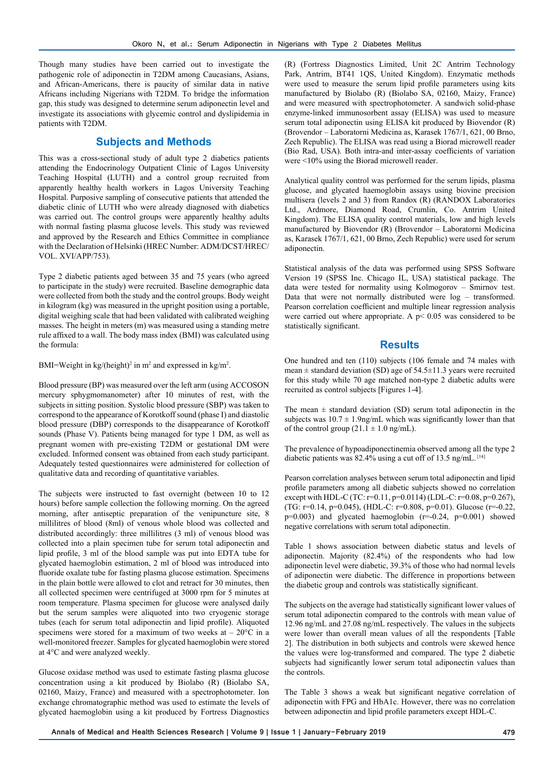Though many studies have been carried out to investigate the pathogenic role of adiponectin in T2DM among Caucasians, Asians, and African-Americans, there is paucity of similar data in native Africans including Nigerians with T2DM. To bridge the information gap, this study was designed to determine serum adiponectin level and investigate its associations with glycemic control and dyslipidemia in patients with T2DM.

### **Subjects and Methods**

This was a cross-sectional study of adult type 2 diabetics patients attending the Endocrinology Outpatient Clinic of Lagos University Teaching Hospital (LUTH) and a control group recruited from apparently healthy health workers in Lagos University Teaching Hospital. Purposive sampling of consecutive patients that attended the diabetic clinic of LUTH who were already diagnosed with diabetics was carried out. The control groups were apparently healthy adults with normal fasting plasma glucose levels. This study was reviewed and approved by the Research and Ethics Committee in compliance with the Declaration of Helsinki (HREC Number: ADM/DCST/HREC/ VOL. XVI/APP/753).

Type 2 diabetic patients aged between 35 and 75 years (who agreed to participate in the study) were recruited. Baseline demographic data were collected from both the study and the control groups. Body weight in kilogram (kg) was measured in the upright position using a portable, digital weighing scale that had been validated with calibrated weighing masses. The height in meters (m) was measured using a standing metre rule affixed to a wall. The body mass index (BMI) was calculated using the formula:

BMI=Weight in  $\text{kg/(height)}^2$  in m<sup>2</sup> and expressed in  $\text{kg/m}^2$ .

Blood pressure (BP) was measured over the left arm (using ACCOSON mercury sphygmomanometer) after 10 minutes of rest, with the subjects in sitting position. Systolic blood pressure (SBP) was taken to correspond to the appearance of Korotkoff sound (phase I) and diastolic blood pressure (DBP) corresponds to the disappearance of Korotkoff sounds (Phase V). Patients being managed for type 1 DM, as well as pregnant women with pre-existing T2DM or gestational DM were excluded. Informed consent was obtained from each study participant. Adequately tested questionnaires were administered for collection of qualitative data and recording of quantitative variables.

The subjects were instructed to fast overnight (between 10 to 12 hours) before sample collection the following morning. On the agreed morning, after antiseptic preparation of the venipuncture site, 8 millilitres of blood (8ml) of venous whole blood was collected and distributed accordingly: three millilitres (3 ml) of venous blood was collected into a plain specimen tube for serum total adiponectin and lipid profile, 3 ml of the blood sample was put into EDTA tube for glycated haemoglobin estimation, 2 ml of blood was introduced into fluoride oxalate tube for fasting plasma glucose estimation. Specimens in the plain bottle were allowed to clot and retract for 30 minutes, then all collected specimen were centrifuged at 3000 rpm for 5 minutes at room temperature. Plasma specimen for glucose were analysed daily but the serum samples were aliquoted into two cryogenic storage tubes (each for serum total adiponectin and lipid profile). Aliquoted specimens were stored for a maximum of two weeks at  $-20^{\circ}$ C in a well-monitored freezer. Samples for glycated haemoglobin were stored at 4°C and were analyzed weekly.

Glucose oxidase method was used to estimate fasting plasma glucose concentration using a kit produced by Biolabo (R) (Biolabo SA, 02160, Maizy, France) and measured with a spectrophotometer. Ion exchange chromatographic method was used to estimate the levels of glycated haemoglobin using a kit produced by Fortress Diagnostics (R) (Fortress Diagnostics Limited, Unit 2C Antrim Technology Park, Antrim, BT41 1QS, United Kingdom). Enzymatic methods were used to measure the serum lipid profile parameters using kits manufactured by Biolabo (R) (Biolabo SA, 02160, Maizy, France) and were measured with spectrophotometer. A sandwich solid-phase enzyme-linked immunosorbent assay (ELISA) was used to measure serum total adiponectin using ELISA kit produced by Biovendor (R) (Brovendor – Laboratorni Medicina as, Karasek 1767/1, 621, 00 Brno, Zech Republic). The ELISA was read using a Biorad microwell reader (Bio Rad, USA). Both intra-and inter-assay coefficients of variation were <10% using the Biorad microwell reader.

Analytical quality control was performed for the serum lipids, plasma glucose, and glycated haemoglobin assays using biovine precision multisera (levels 2 and 3) from Randox (R) (RANDOX Laboratories Ltd., Ardmore, Diamond Road, Crumlin, Co. Antrim United Kingdom). The ELISA quality control materials, low and high levels manufactured by Biovendor (R) (Brovendor – Laboratorni Medicina as, Karasek 1767/1, 621, 00 Brno, Zech Republic) were used for serum adiponectin.

Statistical analysis of the data was performed using SPSS Software Version 19 (SPSS Inc. Chicago IL, USA) statistical package. The data were tested for normality using Kolmogorov – Smirnov test. Data that were not normally distributed were log – transformed. Pearson correlation coefficient and multiple linear regression analysis were carried out where appropriate. A  $p < 0.05$  was considered to be statistically significant.

#### **Results**

One hundred and ten (110) subjects (106 female and 74 males with mean  $\pm$  standard deviation (SD) age of 54.5 $\pm$ 11.3 years were recruited for this study while 70 age matched non-type 2 diabetic adults were recruited as control subjects [Figures 1-4].

The mean  $\pm$  standard deviation (SD) serum total adiponectin in the subjects was  $10.7 \pm 1.9$ ng/mL which was significantly lower than that of the control group  $(21.1 \pm 1.0 \text{ ng/mL})$ .

The prevalence of hypoadiponectinemia observed among all the type 2 diabetic patients was 82.4% using a cut off of 13.5 ng/mL. [14]

Pearson correlation analyses between serum total adiponectin and lipid profile parameters among all diabetic subjects showed no correlation except with HDL-C (TC:  $r=0.11$ ,  $p=0.0114$ ) (LDL-C:  $r=0.08$ ,  $p=0.267$ ), (TG:  $r=0.14$ ,  $p=0.045$ ), (HDL-C:  $r=0.808$ ,  $p=0.01$ ). Glucose ( $r=-0.22$ ,  $p=0.003$ ) and glycated haemoglobin  $(r=-0.24, p=0.001)$  showed negative correlations with serum total adiponectin.

Table 1 shows association between diabetic status and levels of adiponectin. Majority (82.4%) of the respondents who had low adiponectin level were diabetic, 39.3% of those who had normal levels of adiponectin were diabetic. The difference in proportions between the diabetic group and controls was statistically significant.

The subjects on the average had statistically significant lower values of serum total adiponectin compared to the controls with mean value of 12.96 ng/mL and 27.08 ng/mL respectively. The values in the subjects were lower than overall mean values of all the respondents [Table 2]. The distribution in both subjects and controls were skewed hence the values were log-transformed and compared. The type 2 diabetic subjects had significantly lower serum total adiponectin values than the controls.

The Table 3 shows a weak but significant negative correlation of adiponectin with FPG and HbA1c. However, there was no correlation between adiponectin and lipid profile parameters except HDL-C.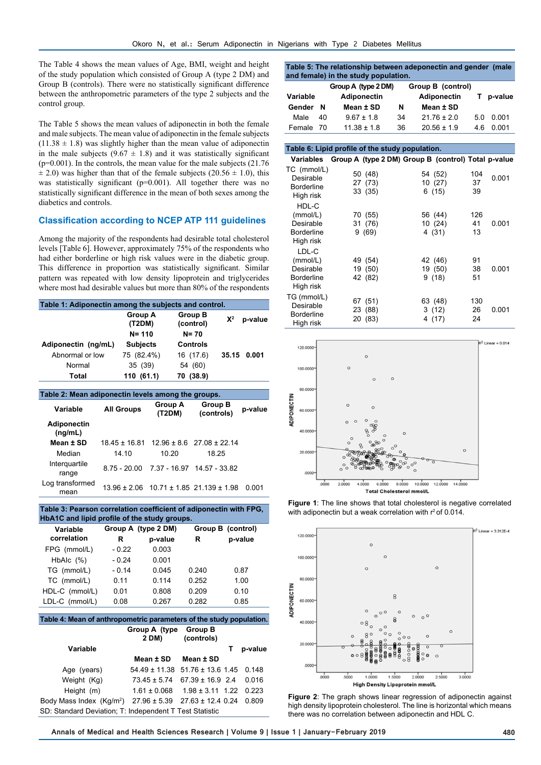The Table 4 shows the mean values of Age, BMI, weight and height of the study population which consisted of Group A (type 2 DM) and Group B (controls). There were no statistically significant difference between the anthropometric parameters of the type 2 subjects and the control group.

The Table 5 shows the mean values of adiponectin in both the female and male subjects. The mean value of adiponectin in the female subjects  $(11.38 \pm 1.8)$  was slightly higher than the mean value of adiponectin in the male subjects ( $9.67 \pm 1.8$ ) and it was statistically significant (p=0.001). In the controls, the mean value for the male subjects (21.76  $\pm$  2.0) was higher than that of the female subjects (20.56  $\pm$  1.0), this was statistically significant (p=0.001). All together there was no statistically significant difference in the mean of both sexes among the diabetics and controls.

#### **Classification according to NCEP ATP 111 guidelines**

Among the majority of the respondents had desirable total cholesterol levels [Table 6]. However, approximately 75% of the respondents who had either borderline or high risk values were in the diabetic group. This difference in proportion was statistically significant. Similar pattern was repeated with low density lipoprotein and triglycerides where most had desirable values but more than 80% of the respondents

| Table 1: Adiponectin among the subjects and control. |                                       |                                  |       |       |  |  |  |
|------------------------------------------------------|---------------------------------------|----------------------------------|-------|-------|--|--|--|
|                                                      | <b>Group A</b><br>(T2DM)<br>$N = 110$ | Group B<br>(control)<br>$N = 70$ | $X^2$ |       |  |  |  |
| Adiponectin (ng/mL)                                  | <b>Subjects</b>                       | <b>Controls</b>                  |       |       |  |  |  |
| Abnormal or low                                      | 75 (82.4%)                            | 16 (17.6)                        | 35.15 | 0.001 |  |  |  |
| Normal                                               | 35 (39)                               | 54 (60)                          |       |       |  |  |  |
| Total                                                | 110 (61.1)                            | 70 (38.9)                        |       |       |  |  |  |

| Table 2: Mean adiponectin levels among the groups. |                   |                          |                                                     |         |  |  |  |  |
|----------------------------------------------------|-------------------|--------------------------|-----------------------------------------------------|---------|--|--|--|--|
| Variable                                           | <b>All Groups</b> | <b>Group A</b><br>(T2DM) | <b>Group B</b><br>(controls)                        | p-value |  |  |  |  |
| Adiponectin<br>(nq/mL)                             |                   |                          |                                                     |         |  |  |  |  |
| Mean $\pm$ SD                                      | $18.45 \pm 16.81$ |                          | $12.96 \pm 8.6$ 27.08 $\pm$ 22.14                   |         |  |  |  |  |
| Median                                             | 14.10             | 10.20                    | 18.25                                               |         |  |  |  |  |
| Interguartile<br>range                             |                   |                          | 8.75 - 20.00 7.37 - 16.97 14.57 - 33.82             |         |  |  |  |  |
| Log transformed<br>mean                            |                   |                          | $13.96 \pm 2.06$ 10.71 $\pm$ 1.85 21.139 $\pm$ 1.98 | 0.001   |  |  |  |  |

| Table 3: Pearson correlation coefficient of adiponectin with FPG,<br>HbA1C and lipid profile of the study groups. |         |                     |       |                   |  |  |  |
|-------------------------------------------------------------------------------------------------------------------|---------|---------------------|-------|-------------------|--|--|--|
| Variable                                                                                                          |         | Group A (type 2 DM) |       | Group B (control) |  |  |  |
| correlation                                                                                                       | R       | p-value             | R     | p-value           |  |  |  |
| FPG (mmol/L)                                                                                                      | - 0.22  | 0.003               |       |                   |  |  |  |
| HbAlc $(%)$                                                                                                       | - 0 24  | 0.001               |       |                   |  |  |  |
| TG (mmol/L)                                                                                                       | $-0.14$ | 0.045               | 0.240 | 0.87              |  |  |  |
| TC (mmol/L)                                                                                                       | 0.11    | 0.114               | 0.252 | 1.00              |  |  |  |
| HDL-C (mmol/L)                                                                                                    | 0.01    | 0.808               | 0.209 | 0.10              |  |  |  |
| LDL-C (mmol/L)                                                                                                    | 0.08    | 0.267               | 0.282 | 0.85              |  |  |  |

| Table 4: Mean of anthropometric parameters of the study population. |                                               |                              |   |         |  |  |
|---------------------------------------------------------------------|-----------------------------------------------|------------------------------|---|---------|--|--|
|                                                                     | Group A (type<br>2 DM)                        | <b>Group B</b><br>(controls) |   |         |  |  |
| <b>Variable</b>                                                     |                                               |                              | т | p-value |  |  |
|                                                                     | Mean ± SD                                     | Mean ± SD                    |   |         |  |  |
| Age (years)                                                         | $54.49 \pm 11.38$ $51.76 \pm 13.6$ 1.45 0.148 |                              |   |         |  |  |
| Weight (Kg)                                                         | $73.45 \pm 5.74$                              | $67.39 \pm 16.9$ 2.4         |   | 0.016   |  |  |
| Height (m)                                                          | $1.61 \pm 0.068$                              | $1.98 \pm 3.11$ 1.22 0.223   |   |         |  |  |
| Body Mass Index $(Kq/m^2)$ 27.96 ± 5.39 27.63 ± 12.4 0.24           |                                               |                              |   | 0.809   |  |  |
| SD: Standard Deviation; T: Independent T Test Statistic             |                                               |                              |   |         |  |  |

| Table 5: The relationship between adeponectin and gender (male |  |  |  |  |  |  |  |  |
|----------------------------------------------------------------|--|--|--|--|--|--|--|--|
| and female) in the study population.                           |  |  |  |  |  |  |  |  |
|                                                                |  |  |  |  |  |  |  |  |

|           |    | Group A (type 2 DM) |    | Group B (control)  |    |         |
|-----------|----|---------------------|----|--------------------|----|---------|
| Variable  |    | Adiponectin         |    | <b>Adiponectin</b> |    | p-value |
| Gender N  |    | Mean ± SD           | N  | Mean ± SD          |    |         |
| Male      | 40 | $9.67 \pm 1.8$      | 34 | $21.76 \pm 2.0$    | 50 | 0.001   |
| Female 70 |    | $11.38 \pm 1.8$     | 36 | $20.56 \pm 1.9$    | 46 | 0.001   |

#### **Table 6: Lipid profile of the study population. Variables Group A (type 2 DM) Group B (control) Total p-value** TC (mmol/L) Desirable Borderline High risk 50 (48) 27 (73) 33 (35) 54 (52) 10 (27) 6 (15) 104 37 39 0.001 HDL-C (mmol/L) Desirable Borderline High risk 70 (55) 31 (76) 9 (69) 56 (44) 10 (24) 4 (31) 126 41 13 0.001 LDL-C (mmol/L) Desirable Borderline High risk 49 (54) 19 (50) 42 (82) 42 (46) 19 (50) 9 (18) 91 38 51 0.001 TG (mmol/L) Desirable Borderline High risk 67 (51) 23 (88) 20 (83) 63 (48) 3 (12) 4 (17) 130 26 24 0.001



**Figure 1**: The line shows that total cholesterol is negative correlated with adiponectin but a weak correlation with  $r^2$  of 0.014.



**Figure 2**: The graph shows linear regression of adiponectin against high density lipoprotein cholesterol. The line is horizontal which means there was no correlation between adiponectin and HDL C.

**Annals of Medical and Health Sciences Research | Volume 9 | Issue 1 | January-February 2019 480**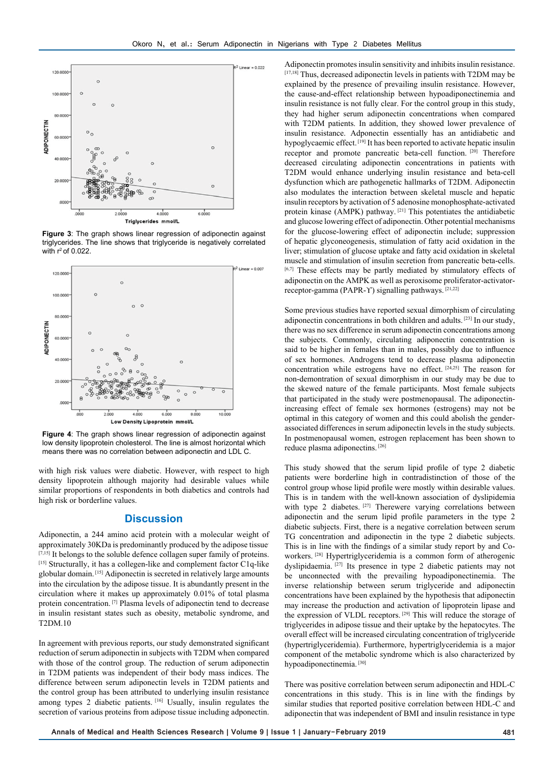

**Figure 3**: The graph shows linear regression of adiponectin against triglycerides. The line shows that triglyceride is negatively correlated with  $r^2$  of 0.022.



**Figure 4:** The graph shows linear regression of adiponectin against low density lipoprotein cholesterol. The line is almost horizontal which means there was no correlation between adiponectin and LDL C.

with high risk values were diabetic. However, with respect to high density lipoprotein although majority had desirable values while similar proportions of respondents in both diabetics and controls had high risk or borderline values.

#### **Discussion**

Adiponectin, a 244 amino acid protein with a molecular weight of approximately 30KDa is predominantly produced by the adipose tissue. [7,15] It belongs to the soluble defence collagen super family of proteins. [15] Structurally, it has a collegen-like and complement factor C1q-like globular domain. [15] Adiponectin is secreted in relatively large amounts into the circulation by the adipose tissue. It is abundantly present in the circulation where it makes up approximately 0.01% of total plasma protein concentration. [7] Plasma levels of adiponectin tend to decrease in insulin resistant states such as obesity, metabolic syndrome, and T2DM.10

In agreement with previous reports, our study demonstrated significant reduction of serum adiponectin in subjects with T2DM when compared with those of the control group. The reduction of serum adiponectin in T2DM patients was independent of their body mass indices. The difference between serum adiponectin levels in T2DM patients and the control group has been attributed to underlying insulin resistance among types 2 diabetic patients. [16] Usually, insulin regulates the secretion of various proteins from adipose tissue including adponectin.

Adiponectin promotes insulin sensitivity and inhibits insulin resistance. [17,18] Thus, decreased adiponectin levels in patients with T2DM may be explained by the presence of prevailing insulin resistance. However, the cause-and-effect relationship between hypoadiponectinemia and insulin resistance is not fully clear. For the control group in this study, they had higher serum adiponectin concentrations when compared with T2DM patients. In addition, they showed lower prevalence of insulin resistance. Adponectin essentially has an antidiabetic and hypoglycaemic effect. [19] It has been reported to activate hepatic insulin receptor and promote pancreatic beta-cell function. [20] Therefore decreased circulating adiponectin concentrations in patients with T2DM would enhance underlying insulin resistance and beta-cell dysfunction which are pathogenetic hallmarks of T2DM. Adiponectin also modulates the interaction between skeletal muscle and hepatic insulin receptors by activation of 5 adenosine monophosphate-activated protein kinase (AMPK) pathway. [21] This potentiates the antidiabetic and glucose lowering effect of adiponectin. Other potential mechanisms for the glucose-lowering effect of adiponectin include; suppression of hepatic glyconeogenesis, stimulation of fatty acid oxidation in the liver; stimulation of glucose uptake and fatty acid oxidation in skeletal muscle and stimulation of insulin secretion from pancreatic beta-cells. [6,7] These effects may be partly mediated by stimulatory effects of adiponectin on the AMPK as well as peroxisome proliferator-activatorreceptor-gamma (PAPR-ϒ) signalling pathways. [21,22]

Some previous studies have reported sexual dimorphism of circulating adiponectin concentrations in both children and adults. [23] In our study, there was no sex difference in serum adiponectin concentrations among the subjects. Commonly, circulating adiponectin concentration is said to be higher in females than in males, possibly due to influence of sex hormones. Androgens tend to decrease plasma adiponectin concentration while estrogens have no effect. [24,25] The reason for non-demontration of sexual dimorphism in our study may be due to the skewed nature of the female participants. Most female subjects that participated in the study were postmenopausal. The adiponectinincreasing effect of female sex hormones (estrogens) may not be optimal in this category of women and this could abolish the genderassociated differences in serum adiponectin levels in the study subjects. In postmenopausal women, estrogen replacement has been shown to reduce plasma adiponectins. [26]

This study showed that the serum lipid profile of type 2 diabetic patients were borderline high in contradistinction of those of the control group whose lipid profile were mostly within desirable values. This is in tandem with the well-known association of dyslipidemia with type 2 diabetes. <sup>[27]</sup> Therewere varying correlations between adiponectin and the serum lipid profile parameters in the type 2 diabetic subjects. First, there is a negative correlation between serum TG concentration and adiponectin in the type 2 diabetic subjects. This is in line with the findings of a similar study report by and Coworkers. [28] Hypertriglyceridemia is a common form of atherogenic dyslipidaemia. <sup>[27]</sup> Its presence in type 2 diabetic patients may not be unconnected with the prevailing hypoadiponectinemia. The inverse relationship between serum triglyceride and adiponectin concentrations have been explained by the hypothesis that adiponectin may increase the production and activation of lipoprotein lipase and the expression of VLDL receptors. [29] This will reduce the storage of triglycerides in adipose tissue and their uptake by the hepatocytes. The overall effect will be increased circulating concentration of triglyceride (hypertriglyceridemia). Furthermore, hypertriglyceridemia is a major component of the metabolic syndrome which is also characterized by hypoadiponectinemia.<sup>[30]</sup>

There was positive correlation between serum adiponectin and HDL-C concentrations in this study. This is in line with the findings by similar studies that reported positive correlation between HDL-C and adiponectin that was independent of BMI and insulin resistance in type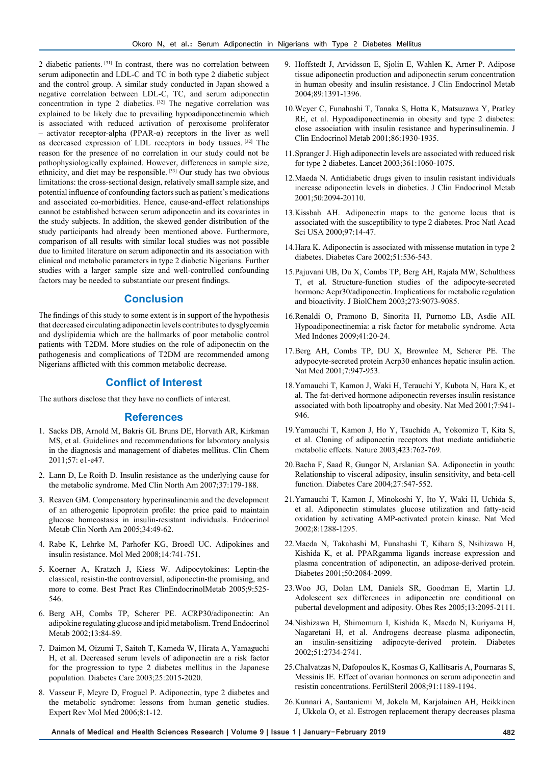2 diabetic patients. [31] In contrast, there was no correlation between serum adiponectin and LDL-C and TC in both type 2 diabetic subject and the control group. A similar study conducted in Japan showed a negative correlation between LDL-C, TC, and serum adiponectin concentration in type 2 diabetics. <sup>[32]</sup> The negative correlation was explained to be likely due to prevailing hypoadiponectinemia which is associated with reduced activation of peroxisome proliferator – activator receptor-alpha (PPAR-α) receptors in the liver as well as decreased expression of LDL receptors in body tissues. [32] The reason for the presence of no correlation in our study could not be pathophysiologically explained. However, differences in sample size, ethnicity, and diet may be responsible. [33] Our study has two obvious limitations: the cross-sectional design, relatively small sample size, and potential influence of confounding factors such as patient's medications and associated co-morbidities. Hence, cause-and-effect relationships cannot be established between serum adiponectin and its covariates in the study subjects. In addition, the skewed gender distribution of the study participants had already been mentioned above. Furthermore, comparison of all results with similar local studies was not possible due to limited literature on serum adiponectin and its association with clinical and metabolic parameters in type 2 diabetic Nigerians. Further studies with a larger sample size and well-controlled confounding factors may be needed to substantiate our present findings.

#### **Conclusion**

The findings of this study to some extent is in support of the hypothesis that decreased circulating adiponectin levels contributes to dysglycemia and dyslipidemia which are the hallmarks of poor metabolic control patients with T2DM. More studies on the role of adiponectin on the pathogenesis and complications of T2DM are recommended among Nigerians afflicted with this common metabolic decrease.

## **Conflict of Interest**

The authors disclose that they have no conflicts of interest.

#### **References**

- 1. Sacks DB, Arnold M, Bakris GL Bruns DE, Horvath AR, Kirkman MS, et al. Guidelines and recommendations for laboratory analysis in the diagnosis and management of diabetes mellitus. Clin Chem 2011;57: e1-e47.
- 2. Lann D, Le Roith D. Insulin resistance as the underlying cause for the metabolic syndrome. Med Clin North Am 2007;37:179-188.
- 3. Reaven GM. Compensatory hyperinsulinemia and the development of an atherogenic lipoprotein profile: the price paid to maintain glucose homeostasis in insulin-resistant individuals. Endocrinol Metab Clin North Am 2005;34:49-62.
- 4. Rabe K, Lehrke M, Parhofer KG, Broedl UC. Adipokines and insulin resistance. Mol Med 2008;14:741-751.
- 5. Koerner A, Kratzch J, Kiess W. Adipocytokines: Leptin-the classical, resistin-the controversial, adiponectin-the promising, and more to come. Best Pract Res ClinEndocrinolMetab 2005;9:525- 546.
- 6. Berg AH, Combs TP, Scherer PE. ACRP30/adiponectin: An adipokine regulating glucose and ipid metabolism. Trend Endocrinol Metab 2002;13:84-89.
- 7. Daimon M, Oizumi T, Saitoh T, Kameda W, Hirata A, Yamaguchi H, et al. Decreased serum levels of adiponectin are a risk factor for the progression to type 2 diabetes mellitus in the Japanese population. Diabetes Care 2003;25:2015-2020.
- 8. Vasseur F, Meyre D, Froguel P. Adiponectin, type 2 diabetes and the metabolic syndrome: lessons from human genetic studies. Expert Rev Mol Med 2006;8:1-12.
- 9. Hoffstedt J, Arvidsson E, Sjolin E, Wahlen K, Arner P. Adipose tissue adiponectin production and adiponectin serum concentration in human obesity and insulin resistance. J Clin Endocrinol Metab 2004;89:1391-1396.
- 10.Weyer C, Funahashi T, Tanaka S, Hotta K, Matsuzawa Y, Pratley RE, et al. Hypoadiponectinemia in obesity and type 2 diabetes: close association with insulin resistance and hyperinsulinemia. J Clin Endocrinol Metab 2001;86:1930-1935.
- 11.Spranger J. High adiponectin levels are associated with reduced risk for type 2 diabetes. Lancet 2003;361:1060-1075.
- 12.Maeda N. Antidiabetic drugs given to insulin resistant individuals increase adiponectin levels in diabetics. J Clin Endocrinol Metab 2001;50:2094-20110.
- 13.Kissbah AH. Adiponectin maps to the genome locus that is associated with the susceptibility to type 2 diabetes. Proc Natl Acad Sci USA 2000;97:14-47.
- 14.Hara K. Adiponectin is associated with missense mutation in type 2 diabetes. Diabetes Care 2002;51:536-543.
- 15.Pajuvani UB, Du X, Combs TP, Berg AH, Rajala MW, Schulthess T, et al. Structure-function studies of the adipocyte-secreted hormone Acpr30/adiponectin. Implications for metabolic regulation and bioactivity. J BiolChem 2003;273:9073-9085.
- 16.Renaldi O, Pramono B, Sinorita H, Purnomo LB, Asdie AH. Hypoadiponectinemia: a risk factor for metabolic syndrome. Acta Med Indones 2009;41:20-24.
- 17.Berg AH, Combs TP, DU X, Brownlee M, Scherer PE. The adypocyte-secreted protein Acrp30 enhances hepatic insulin action. Nat Med 2001;7:947-953.
- 18.Yamauchi T, Kamon J, Waki H, Terauchi Y, Kubota N, Hara K, et al. The fat-derived hormone adiponectin reverses insulin resistance associated with both lipoatrophy and obesity. Nat Med 2001;7:941- 946.
- 19.Yamauchi T, Kamon J, Ho Y, Tsuchida A, Yokomizo T, Kita S, et al. Cloning of adiponectin receptors that mediate antidiabetic metabolic effects. Nature 2003;423:762-769.
- 20.Bacha F, Saad R, Gungor N, Arslanian SA. Adiponectin in youth: Relationship to visceral adiposity, insulin sensitivity, and beta-cell function. Diabetes Care 2004;27:547-552.
- 21.Yamauchi T, Kamon J, Minokoshi Y, Ito Y, Waki H, Uchida S, et al. Adiponectin stimulates glucose utilization and fatty-acid oxidation by activating AMP-activated protein kinase. Nat Med 2002;8:1288-1295.
- 22.Maeda N, Takahashi M, Funahashi T, Kihara S, Nsihizawa H, Kishida K, et al. PPARgamma ligands increase expression and plasma concentration of adiponectin, an adipose-derived protein. Diabetes 2001;50:2084-2099.
- 23.Woo JG, Dolan LM, Daniels SR, Goodman E, Martin LJ. Adolescent sex differences in adiponectin are conditional on pubertal development and adiposity. Obes Res 2005;13:2095-2111.
- 24.Nishizawa H, Shimomura I, Kishida K, Maeda N, Kuriyama H, Nagaretani H, et al. Androgens decrease plasma adiponectin, an insulin-sensitizing adipocyte-derived protein. Diabetes 2002;51:2734-2741.
- 25.Chalvatzas N, Dafopoulos K, Kosmas G, Kallitsaris A, Pournaras S, Messinis IE. Effect of ovarian hormones on serum adiponectin and resistin concentrations. FertilSteril 2008;91:1189-1194.
- 26.Kunnari A, Santaniemi M, Jokela M, Karjalainen AH, Heikkinen J, Ukkola O, et al. Estrogen replacement therapy decreases plasma